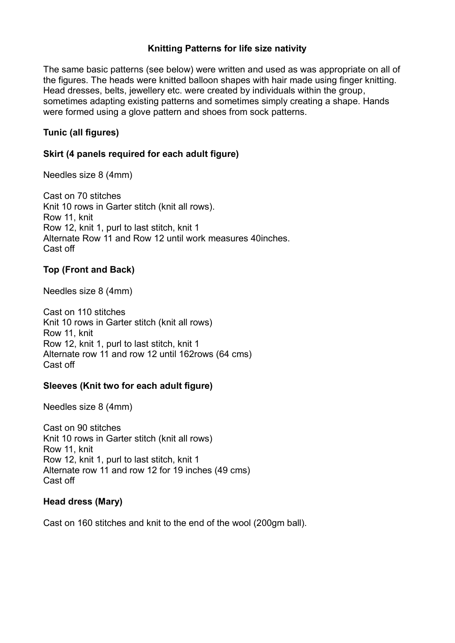# **Knitting Patterns for life size nativity**

The same basic patterns (see below) were written and used as was appropriate on all of the figures. The heads were knitted balloon shapes with hair made using finger knitting. Head dresses, belts, jewellery etc. were created by individuals within the group, sometimes adapting existing patterns and sometimes simply creating a shape. Hands were formed using a glove pattern and shoes from sock patterns.

# **Tunic (all figures)**

# **Skirt (4 panels required for each adult figure)**

Needles size 8 (4mm)

Cast on 70 stitches Knit 10 rows in Garter stitch (knit all rows). Row 11, knit Row 12, knit 1, purl to last stitch, knit 1 Alternate Row 11 and Row 12 until work measures 40inches. Cast off

# **Top (Front and Back)**

Needles size 8 (4mm)

Cast on 110 stitches Knit 10 rows in Garter stitch (knit all rows) Row 11, knit Row 12, knit 1, purl to last stitch, knit 1 Alternate row 11 and row 12 until 162rows (64 cms) Cast off

## **Sleeves (Knit two for each adult figure)**

Needles size 8 (4mm)

Cast on 90 stitches Knit 10 rows in Garter stitch (knit all rows) Row 11, knit Row 12, knit 1, purl to last stitch, knit 1 Alternate row 11 and row 12 for 19 inches (49 cms) Cast off

## **Head dress (Mary)**

Cast on 160 stitches and knit to the end of the wool (200gm ball).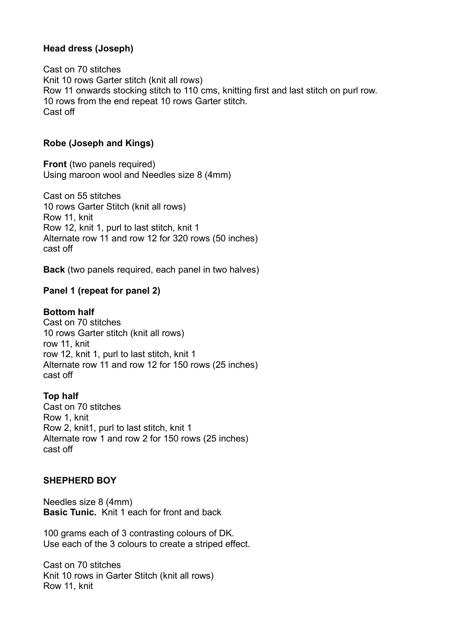## **Head dress (Joseph)**

Cast on 70 stitches Knit 10 rows Garter stitch (knit all rows) Row 11 onwards stocking stitch to 110 cms, knitting first and last stitch on purl row. 10 rows from the end repeat 10 rows Garter stitch. Cast off

#### **Robe (Joseph and Kings)**

**Front** (two panels required) Using maroon wool and Needles size 8 (4mm)

Cast on 55 stitches 10 rows Garter Stitch (knit all rows) Row 11, knit Row 12, knit 1, purl to last stitch, knit 1 Alternate row 11 and row 12 for 320 rows (50 inches) cast off

**Back** (two panels required, each panel in two halves)

#### **Panel 1 (repeat for panel 2)**

#### **Bottom half**

Cast on 70 stitches 10 rows Garter stitch (knit all rows) row 11, knit row 12, knit 1, purl to last stitch, knit 1 Alternate row 11 and row 12 for 150 rows (25 inches) cast off

## **Top half**

Cast on 70 stitches Row 1, knit Row 2, knit1, purl to last stitch, knit 1 Alternate row 1 and row 2 for 150 rows (25 inches) cast off

#### **SHEPHERD BOY**

Needles size 8 (4mm) **Basic Tunic.** Knit 1 each for front and back

100 grams each of 3 contrasting colours of DK. Use each of the 3 colours to create a striped effect.

Cast on 70 stitches Knit 10 rows in Garter Stitch (knit all rows) Row 11, knit